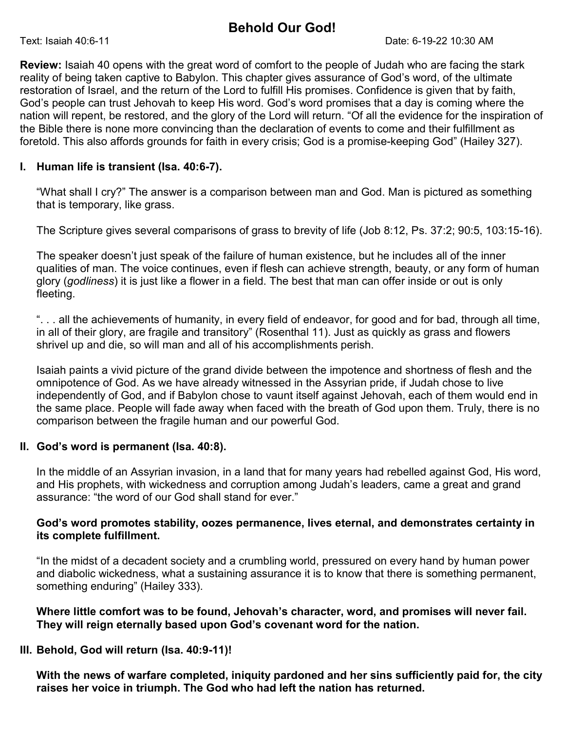# Behold Our God!

Review: Isaiah 40 opens with the great word of comfort to the people of Judah who are facing the stark reality of being taken captive to Babylon. This chapter gives assurance of God's word, of the ultimate restoration of Israel, and the return of the Lord to fulfill His promises. Confidence is given that by faith, God's people can trust Jehovah to keep His word. God's word promises that a day is coming where the nation will repent, be restored, and the glory of the Lord will return. "Of all the evidence for the inspiration of the Bible there is none more convincing than the declaration of events to come and their fulfillment as foretold. This also affords grounds for faith in every crisis; God is a promise-keeping God" (Hailey 327).

### I. Human life is transient (Isa. 40:6-7).

"What shall I cry?" The answer is a comparison between man and God. Man is pictured as something that is temporary, like grass.

The Scripture gives several comparisons of grass to brevity of life (Job 8:12, Ps. 37:2; 90:5, 103:15-16).

The speaker doesn't just speak of the failure of human existence, but he includes all of the inner qualities of man. The voice continues, even if flesh can achieve strength, beauty, or any form of human glory (godliness) it is just like a flower in a field. The best that man can offer inside or out is only fleeting.

". . . all the achievements of humanity, in every field of endeavor, for good and for bad, through all time, in all of their glory, are fragile and transitory" (Rosenthal 11). Just as quickly as grass and flowers shrivel up and die, so will man and all of his accomplishments perish.

Isaiah paints a vivid picture of the grand divide between the impotence and shortness of flesh and the omnipotence of God. As we have already witnessed in the Assyrian pride, if Judah chose to live independently of God, and if Babylon chose to vaunt itself against Jehovah, each of them would end in the same place. People will fade away when faced with the breath of God upon them. Truly, there is no comparison between the fragile human and our powerful God.

#### II. God's word is permanent (Isa. 40:8).

In the middle of an Assyrian invasion, in a land that for many years had rebelled against God, His word, and His prophets, with wickedness and corruption among Judah's leaders, came a great and grand assurance: "the word of our God shall stand for ever."

#### God's word promotes stability, oozes permanence, lives eternal, and demonstrates certainty in its complete fulfillment.

"In the midst of a decadent society and a crumbling world, pressured on every hand by human power and diabolic wickedness, what a sustaining assurance it is to know that there is something permanent, something enduring" (Hailey 333).

#### Where little comfort was to be found, Jehovah's character, word, and promises will never fail. They will reign eternally based upon God's covenant word for the nation.

## III. Behold, God will return (Isa. 40:9-11)!

With the news of warfare completed, iniquity pardoned and her sins sufficiently paid for, the city raises her voice in triumph. The God who had left the nation has returned.